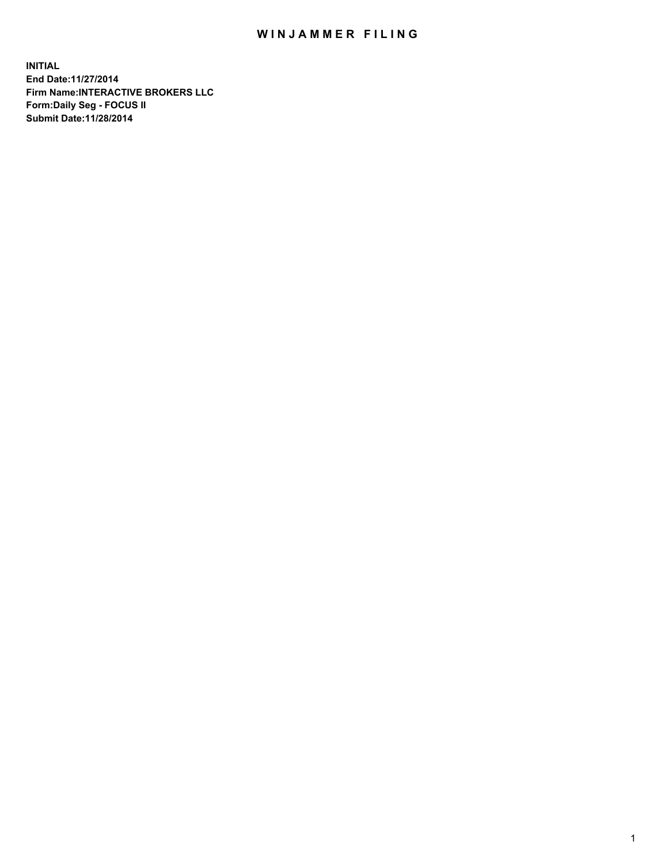## WIN JAMMER FILING

**INITIAL End Date:11/27/2014 Firm Name:INTERACTIVE BROKERS LLC Form:Daily Seg - FOCUS II Submit Date:11/28/2014**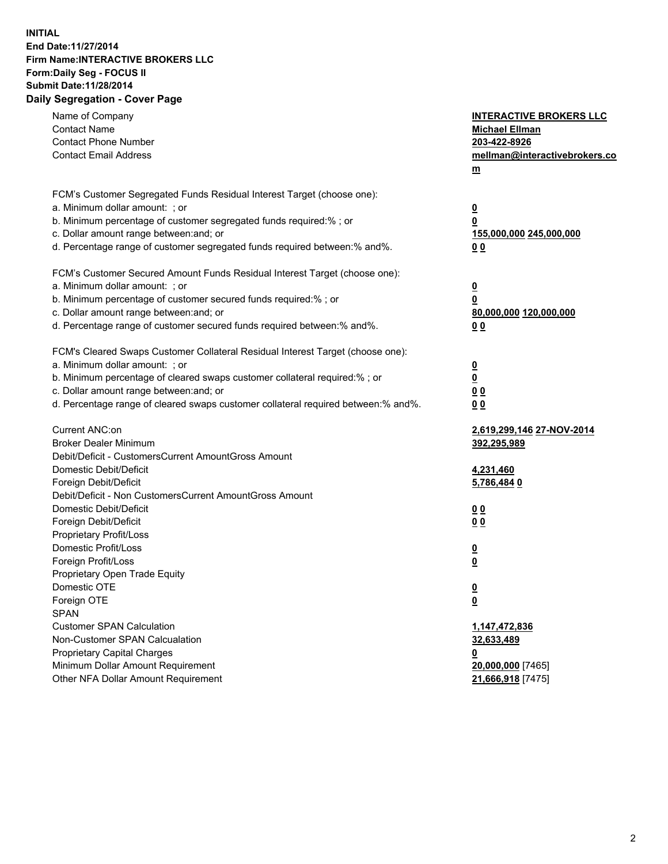## **INITIAL End Date:11/27/2014 Firm Name:INTERACTIVE BROKERS LLC Form:Daily Seg - FOCUS II Submit Date:11/28/2014 Daily Segregation - Cover Page**

| Name of Company<br><b>Contact Name</b><br><b>Contact Phone Number</b><br><b>Contact Email Address</b>                                                                                                                                                                                                                          | <b>INTERACTIVE BROKERS LLC</b><br><b>Michael Ellman</b><br>203-422-8926<br>mellman@interactivebrokers.co<br><u>m</u> |
|--------------------------------------------------------------------------------------------------------------------------------------------------------------------------------------------------------------------------------------------------------------------------------------------------------------------------------|----------------------------------------------------------------------------------------------------------------------|
| FCM's Customer Segregated Funds Residual Interest Target (choose one):<br>a. Minimum dollar amount: ; or<br>b. Minimum percentage of customer segregated funds required:% ; or<br>c. Dollar amount range between: and; or<br>d. Percentage range of customer segregated funds required between:% and%.                         | $\overline{\mathbf{0}}$<br>0<br>155,000,000 245,000,000<br>00                                                        |
| FCM's Customer Secured Amount Funds Residual Interest Target (choose one):<br>a. Minimum dollar amount: ; or<br>b. Minimum percentage of customer secured funds required:% ; or<br>c. Dollar amount range between: and; or<br>d. Percentage range of customer secured funds required between:% and%.                           | $\overline{\mathbf{0}}$<br>0<br>80,000,000 120,000,000<br>0 <sub>0</sub>                                             |
| FCM's Cleared Swaps Customer Collateral Residual Interest Target (choose one):<br>a. Minimum dollar amount: ; or<br>b. Minimum percentage of cleared swaps customer collateral required:% ; or<br>c. Dollar amount range between: and; or<br>d. Percentage range of cleared swaps customer collateral required between:% and%. | $\overline{\mathbf{0}}$<br><u>0</u><br>0 <sub>0</sub><br>0 <sub>0</sub>                                              |
| Current ANC:on<br><b>Broker Dealer Minimum</b><br>Debit/Deficit - CustomersCurrent AmountGross Amount<br>Domestic Debit/Deficit<br>Foreign Debit/Deficit                                                                                                                                                                       | <u>2,619,299,146 27-NOV-2014</u><br>392,295,989<br>4,231,460<br>5,786,484 0                                          |
| Debit/Deficit - Non CustomersCurrent AmountGross Amount<br>Domestic Debit/Deficit<br>Foreign Debit/Deficit<br>Proprietary Profit/Loss<br>Domestic Profit/Loss<br>Foreign Profit/Loss                                                                                                                                           | 0 <sub>0</sub><br>0 <sub>0</sub><br>$\overline{\mathbf{0}}$<br>$\overline{\mathbf{0}}$                               |
| Proprietary Open Trade Equity<br>Domestic OTE<br>Foreign OTE<br><b>SPAN</b><br><b>Customer SPAN Calculation</b>                                                                                                                                                                                                                | $\overline{\mathbf{0}}$<br><u>0</u><br>1,147,472,836                                                                 |
| Non-Customer SPAN Calcualation<br><b>Proprietary Capital Charges</b><br>Minimum Dollar Amount Requirement<br>Other NFA Dollar Amount Requirement                                                                                                                                                                               | 32,633,489<br><u>0</u><br>20,000,000 [7465]<br>21,666,918 [7475]                                                     |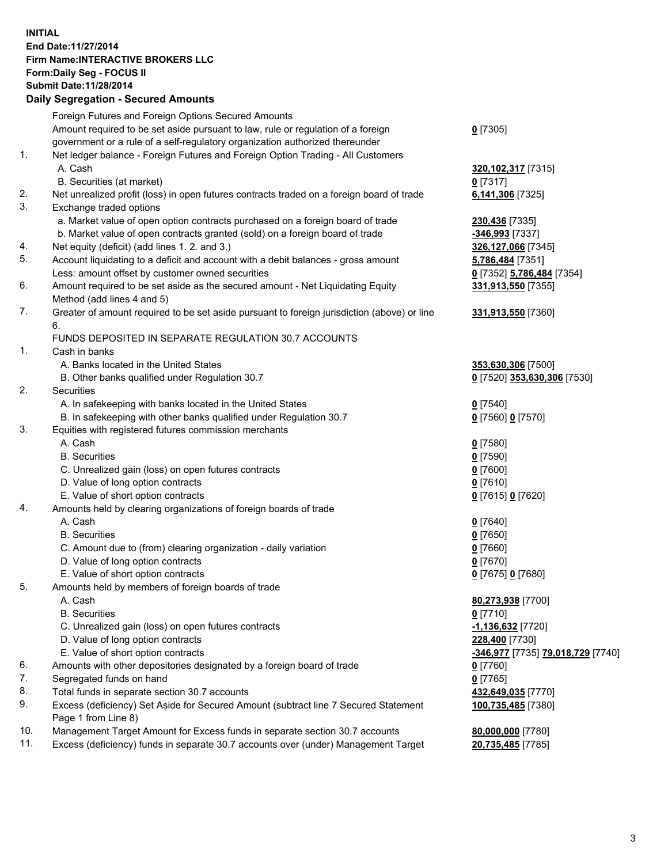## **INITIAL End Date:11/27/2014 Firm Name:INTERACTIVE BROKERS LLC Form:Daily Seg - FOCUS II Submit Date:11/28/2014 Daily Segregation - Secured Amounts**

|                | Daily Segregation - Secured Amounts                                                         |                                   |
|----------------|---------------------------------------------------------------------------------------------|-----------------------------------|
|                | Foreign Futures and Foreign Options Secured Amounts                                         |                                   |
|                | Amount required to be set aside pursuant to law, rule or regulation of a foreign            | $0$ [7305]                        |
|                | government or a rule of a self-regulatory organization authorized thereunder                |                                   |
| $\mathbf{1}$ . | Net ledger balance - Foreign Futures and Foreign Option Trading - All Customers             |                                   |
|                | A. Cash                                                                                     | 320, 102, 317 [7315]              |
|                | B. Securities (at market)                                                                   | $0$ [7317]                        |
| 2.             | Net unrealized profit (loss) in open futures contracts traded on a foreign board of trade   | 6,141,306 [7325]                  |
| 3.             | Exchange traded options                                                                     |                                   |
|                | a. Market value of open option contracts purchased on a foreign board of trade              | 230,436 [7335]                    |
|                | b. Market value of open contracts granted (sold) on a foreign board of trade                | -346,993 [7337]                   |
| 4.             | Net equity (deficit) (add lines 1.2. and 3.)                                                | 326,127,066 [7345]                |
| 5.             | Account liquidating to a deficit and account with a debit balances - gross amount           | 5,786,484 [7351]                  |
|                | Less: amount offset by customer owned securities                                            | 0 [7352] 5,786,484 [7354]         |
| 6.             | Amount required to be set aside as the secured amount - Net Liquidating Equity              | 331,913,550 [7355]                |
|                | Method (add lines 4 and 5)                                                                  |                                   |
| 7.             | Greater of amount required to be set aside pursuant to foreign jurisdiction (above) or line | 331,913,550 [7360]                |
|                | 6.                                                                                          |                                   |
|                | FUNDS DEPOSITED IN SEPARATE REGULATION 30.7 ACCOUNTS                                        |                                   |
| 1.             | Cash in banks                                                                               |                                   |
|                | A. Banks located in the United States                                                       | 353,630,306 [7500]                |
|                | B. Other banks qualified under Regulation 30.7                                              | 0 [7520] 353,630,306 [7530]       |
| 2.             | Securities                                                                                  |                                   |
|                | A. In safekeeping with banks located in the United States                                   | $Q$ [7540]                        |
|                | B. In safekeeping with other banks qualified under Regulation 30.7                          | 0 [7560] 0 [7570]                 |
| 3.             | Equities with registered futures commission merchants                                       |                                   |
|                | A. Cash                                                                                     | $0$ [7580]                        |
|                | <b>B.</b> Securities                                                                        | $0$ [7590]                        |
|                | C. Unrealized gain (loss) on open futures contracts                                         | $0$ [7600]                        |
|                | D. Value of long option contracts                                                           | $0$ [7610]                        |
|                | E. Value of short option contracts                                                          | 0 [7615] 0 [7620]                 |
| 4.             | Amounts held by clearing organizations of foreign boards of trade                           |                                   |
|                | A. Cash                                                                                     | $0$ [7640]                        |
|                | <b>B.</b> Securities                                                                        | $0$ [7650]                        |
|                | C. Amount due to (from) clearing organization - daily variation                             | $0$ [7660]                        |
|                | D. Value of long option contracts                                                           | $0$ [7670]                        |
|                | E. Value of short option contracts                                                          | 0 [7675] 0 [7680]                 |
| 5.             | Amounts held by members of foreign boards of trade                                          |                                   |
|                | A. Cash                                                                                     | 80,273,938 [7700]                 |
|                | <b>B.</b> Securities                                                                        | $0$ [7710]                        |
|                | C. Unrealized gain (loss) on open futures contracts                                         | $-1,136,632$ [7720]               |
|                | D. Value of long option contracts                                                           | 228,400 [7730]                    |
|                | E. Value of short option contracts                                                          | -346,977 [7735] 79,018,729 [7740] |
| 6.             | Amounts with other depositories designated by a foreign board of trade                      | 0 [7760]                          |
| 7.             | Segregated funds on hand                                                                    | $0$ [7765]                        |
| 8.             | Total funds in separate section 30.7 accounts                                               | 432,649,035 [7770]                |
| 9.             | Excess (deficiency) Set Aside for Secured Amount (subtract line 7 Secured Statement         | 100,735,485 [7380]                |
|                | Page 1 from Line 8)                                                                         |                                   |
| 10.            | Management Target Amount for Excess funds in separate section 30.7 accounts                 | 80,000,000 [7780]                 |
| 11.            | Excess (deficiency) funds in separate 30.7 accounts over (under) Management Target          | 20,735,485 [7785]                 |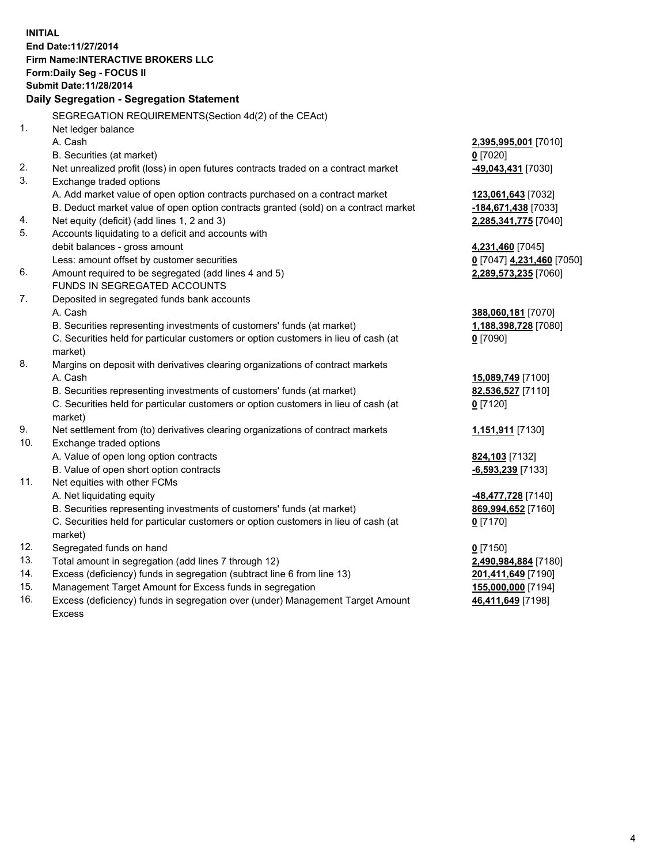**INITIAL End Date:11/27/2014 Firm Name:INTERACTIVE BROKERS LLC Form:Daily Seg - FOCUS II Submit Date:11/28/2014 Daily Segregation - Segregation Statement** SEGREGATION REQUIREMENTS(Section 4d(2) of the CEAct) 1. Net ledger balance A. Cash **2,395,995,001** [7010] B. Securities (at market) **0** [7020] 2. Net unrealized profit (loss) in open futures contracts traded on a contract market **-49,043,431** [7030] 3. Exchange traded options A. Add market value of open option contracts purchased on a contract market **123,061,643** [7032] B. Deduct market value of open option contracts granted (sold) on a contract market **-184,671,438** [7033] 4. Net equity (deficit) (add lines 1, 2 and 3) **2,285,341,775** [7040] 5. Accounts liquidating to a deficit and accounts with debit balances - gross amount **4,231,460** [7045] Less: amount offset by customer securities **0** [7047] **4,231,460** [7050] 6. Amount required to be segregated (add lines 4 and 5) **2,289,573,235** [7060] FUNDS IN SEGREGATED ACCOUNTS 7. Deposited in segregated funds bank accounts A. Cash **388,060,181** [7070] B. Securities representing investments of customers' funds (at market) **1,188,398,728** [7080] C. Securities held for particular customers or option customers in lieu of cash (at market) **0** [7090] 8. Margins on deposit with derivatives clearing organizations of contract markets A. Cash **15,089,749** [7100] B. Securities representing investments of customers' funds (at market) **82,536,527** [7110] C. Securities held for particular customers or option customers in lieu of cash (at market) **0** [7120] 9. Net settlement from (to) derivatives clearing organizations of contract markets **1,151,911** [7130] 10. Exchange traded options A. Value of open long option contracts **824,103** [7132] B. Value of open short option contracts **-6,593,239** [7133] 11. Net equities with other FCMs A. Net liquidating equity **-48,477,728** [7140] B. Securities representing investments of customers' funds (at market) **869,994,652** [7160] C. Securities held for particular customers or option customers in lieu of cash (at market) **0** [7170] 12. Segregated funds on hand **0** [7150] 13. Total amount in segregation (add lines 7 through 12) **2,490,984,884** [7180] 14. Excess (deficiency) funds in segregation (subtract line 6 from line 13) **201,411,649** [7190] 15. Management Target Amount for Excess funds in segregation **155,000,000** [7194]

16. Excess (deficiency) funds in segregation over (under) Management Target Amount Excess

**46,411,649** [7198]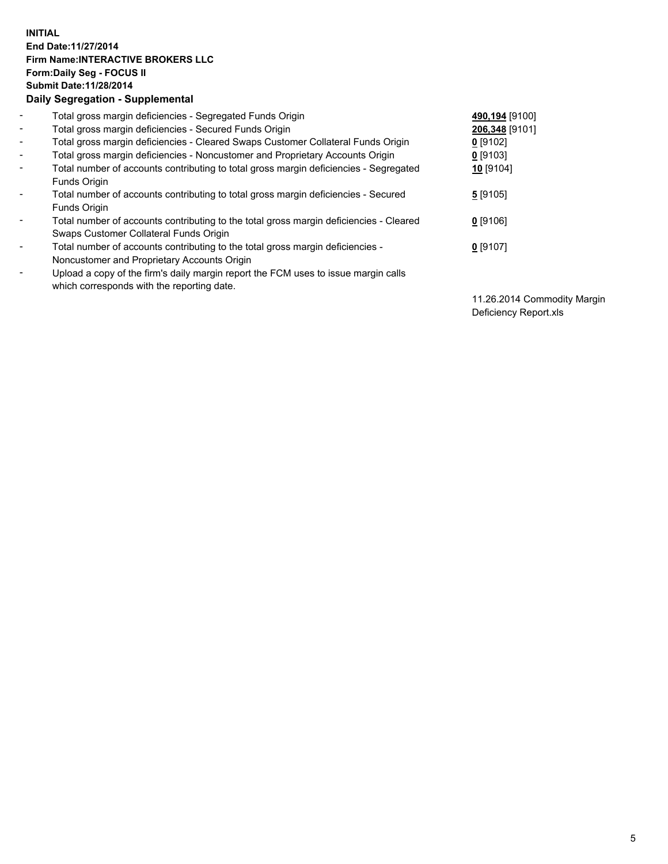## **INITIAL End Date:11/27/2014 Firm Name:INTERACTIVE BROKERS LLC Form:Daily Seg - FOCUS II Submit Date:11/28/2014 Daily Segregation - Supplemental**

| $\blacksquare$ | Total gross margin deficiencies - Segregated Funds Origin                              | 490,194 [9100] |
|----------------|----------------------------------------------------------------------------------------|----------------|
| $\blacksquare$ | Total gross margin deficiencies - Secured Funds Origin                                 | 206,348 [9101] |
| $\blacksquare$ | Total gross margin deficiencies - Cleared Swaps Customer Collateral Funds Origin       | $0$ [9102]     |
| $\blacksquare$ | Total gross margin deficiencies - Noncustomer and Proprietary Accounts Origin          | $0$ [9103]     |
| $\blacksquare$ | Total number of accounts contributing to total gross margin deficiencies - Segregated  | 10 [9104]      |
|                | <b>Funds Origin</b>                                                                    |                |
| $\blacksquare$ | Total number of accounts contributing to total gross margin deficiencies - Secured     | $5$ [9105]     |
|                | <b>Funds Origin</b>                                                                    |                |
| $\blacksquare$ | Total number of accounts contributing to the total gross margin deficiencies - Cleared | $0$ [9106]     |
|                | Swaps Customer Collateral Funds Origin                                                 |                |
| $\blacksquare$ | Total number of accounts contributing to the total gross margin deficiencies -         | $0$ [9107]     |
|                | Noncustomer and Proprietary Accounts Origin                                            |                |
| $\blacksquare$ | Upload a copy of the firm's daily margin report the FCM uses to issue margin calls     |                |
|                | which corresponds with the reporting date.                                             |                |

11.26.2014 Commodity Margin Deficiency Report.xls